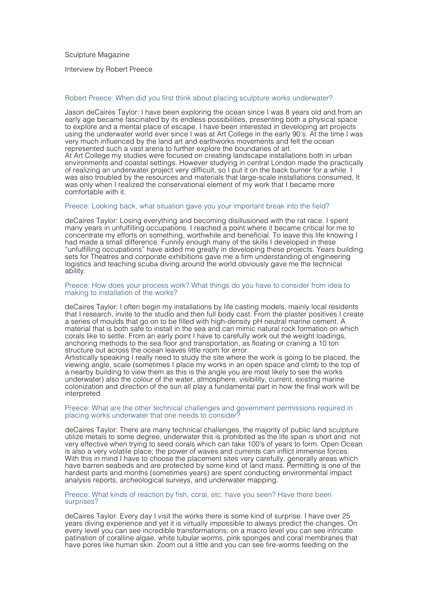Sculpture Magazine

Interview by Robert Preece

# Robert Preece: When did you first think about placing sculpture works underwater?

Jason deCaires Taylor: I have been exploring the ocean since I was 8 years old and from an early age became fascinated by its endless possibilities, presenting both a physical space to explore and a mental place of escape. I have been interested in developing art projects using the underwater world ever since I was at Art College in the early 90's. At the time I was very much influenced by the land art and earthworks movements and felt the ocean represented such a vast arena to further explore the boundaries of art. At Art College my studies were focused on creating landscape installations both in urban environments and coastal settings. However studying in central London made the practically of realizing an underwater project very difficult, so I put it on the back burner for a while. I was also troubled by the resources and materials that large-scale installations consumed, It was only when I realized the conservational element of my work that I became more comfortable with it.

#### Preece: Looking back, what situation gave you your important break into the field?

deCaires Taylor: Losing everything and becoming disillusioned with the rat race. I spent many years in unfulfilling occupations. I reached a point where it became critical for me to concentrate my efforts on something, worthwhile and beneficial. To leave this life knowing I had made a small difference. Funnily enough many of the skills I developed in these "unfulfilling occupations" have aided me greatly in developing these projects. Years building sets for Theatres and corporate exhibitions gave me a firm understanding of engineering logistics and teaching scuba diving around the world obviously gave me the technical ability.

#### Preece: How does your process work? What things do you have to consider from idea to making to installation of the works?

deCaires Taylor: I often begin my installations by life casting models, mainly local residents that I research, invite to the studio and then full body cast. From the plaster positives I create a series of moulds that go on to be filled with high-density pH neutral marine cement. A material that is both safe to install in the sea and can mimic natural rock formation on which corals like to settle. From an early point I have to carefully work out the weight loadings, anchoring methods to the sea floor and transportation, as floating or craning a 10 ton structure out across the ocean leaves little room for error.

Artistically speaking I really need to study the site where the work is going to be placed, the viewing angle, scale (sometimes I place my works in an open space and climb to the top of a nearby building to view them as this is the angle you are most likely to see the works underwater) also the colour of the water, atmosphere, visibility, current, existing marine colonization and direction of the sun all play a fundamental part in how the final work will be interpreted.

# Preece: What are the other technical challenges and government permissions required in placing works underwater that one needs to consider?

deCaires Taylor: There are many technical challenges, the majority of public land sculpture utilize metals to some degree, underwater this is prohibited as the life span is short and not very effective when trying to seed corals which can take 100's of years to form. Open Ocean is also a very volatile place; the power of waves and currents can inflict immense forces. With this in mind I have to choose the placement sites very carefully, generally areas which have barren seabeds and are protected by some kind of land mass. Permitting is one of the hardest parts and months (sometimes years) are spent conducting environmental impact analysis reports, archeological surveys, and underwater mapping.

#### Preece: What kinds of reaction by fish, coral, etc. have you seen? Have there been surprises?

deCaires Taylor: Every day I visit the works there is some kind of surprise. I have over 25 years diving experience and yet it is virtually impossible to always predict the changes. On every level you can see incredible transformations; on a macro level you can see intricate patination of coralline algae, white tubular worms, pink sponges and coral membranes that have pores like human skin. Zoom out a little and you can see fire-worms feeding on the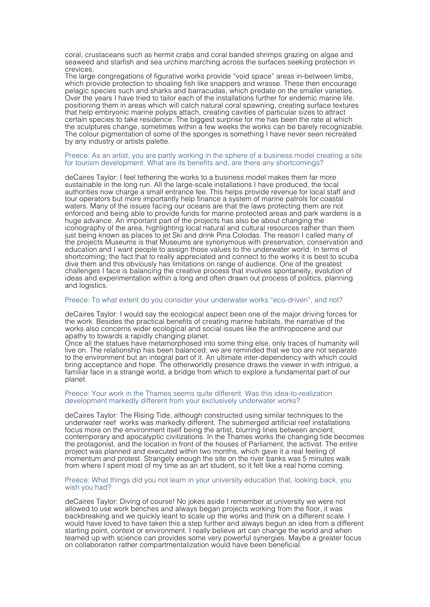coral, crustaceans such as hermit crabs and coral banded shrimps grazing on algae and seaweed and starfish and sea urchins marching across the surfaces seeking protection in crevices.

The large congregations of figurative works provide "void space" areas in-between limbs, which provide protection to shoaling fish like snappers and wrasse. These then encourage pelagic species such and sharks and barracudas, which predate on the smaller varieties. Over the years I have tried to tailor each of the installations further for endemic marine life, positioning them in areas which will catch natural coral spawning, creating surface textures that help embryonic marine polyps attach, creating cavities of particular sizes to attract certain species to take residence. The biggest surprise for me has been the rate at which the sculptures change, sometimes within a few weeks the works can be barely recognizable. The colour pigmentation of some of the sponges is something I have never seen recreated by any industry or artists palette.

## Preece: As an artist, you are partly working in the sphere of a business model creating a site for tourism development. What are its benefits and, are there any shortcomings?

deCaires Taylor: I feel tethering the works to a business model makes them far more sustainable in the long run. All the large-scale installations I have produced, the local authorities now charge a small entrance fee. This helps provide revenue for local staff and tour operators but more importantly help finance a system of marine patrols for coastal waters. Many of the issues facing our oceans are that the laws protecting them are not enforced and being able to provide funds for marine protected areas and park wardens is a huge advance. An important part of the projects has also be about changing the iconography of the area, highlighting local natural and cultural resources rather than them just being known as places to jet Ski and drink Pina Colodas. The reason I called many of the projects Museums is that Museums are synonymous with preservation, conservation and education and I want people to assign those values to the underwater world. In terms of shortcoming; the fact that to really appreciated and connect to the works it is best to scuba dive them and this obviously has limitations on range of audience. One of the greatest challenges I face is balancing the creative process that involves spontaneity, evolution of ideas and experimentation within a long and often drawn out process of politics, planning and logistics.

# Preece: To what extent do you consider your underwater works "eco-driven", and not?

deCaires Taylor: I would say the ecological aspect been one of the major driving forces for the work. Besides the practical benefits of creating marine habitats, the narrative of the works also concerns wider ecological and social issues like the anthropocene and our apathy to towards a rapidly changing planet.

Once all the statues have metamorphosed into some thing else, only traces of humanity will live on. The relationship has been balanced; we are reminded that we too are not separate to the environment but an integral part of it. An ultimate inter-dependency with which could bring acceptance and hope. The otherworldly presence draws the viewer in with intrigue, a familiar face in a strange world, a bridge from which to explore a fundamental part of our planet.

#### Preece: Your work in the Thames seems quite different. Was this idea-to-realization development markedly different from your exclusively underwater works?

deCaires Taylor: The Rising Tide, although constructed using similar techniques to the underwater reef works was markedly different. The submerged artificial reef installations focus more on the environment itself being the artist, blurring lines between ancient, contemporary and apocalyptic civilizations. In the Thames works the changing tide becomes the protagonist, and the location in front of the houses of Parliament, the activist. The entire project was planned and executed within two months, which gave it a real feeling of momentum and protest. Strangely enough the site on the river banks was 5 minutes walk from where I spent most of my time as an art student, so it felt like a real home coming.

# Preece: What things did you not learn in your university education that, looking back, you wish you had?

deCaires Taylor: Diving of course! No jokes aside I remember at university we were not allowed to use work benches and always began projects working from the floor, it was backbreaking and we quickly leant to scale up the works and think on a different scale. I would have loved to have taken this a step further and always begun an idea from a different starting point, context or environment. I really believe art can change the world and when teamed up with science can provides some very powerful synergies. Maybe a greater focus on collaboration rather compartmentalization would have been beneficial.